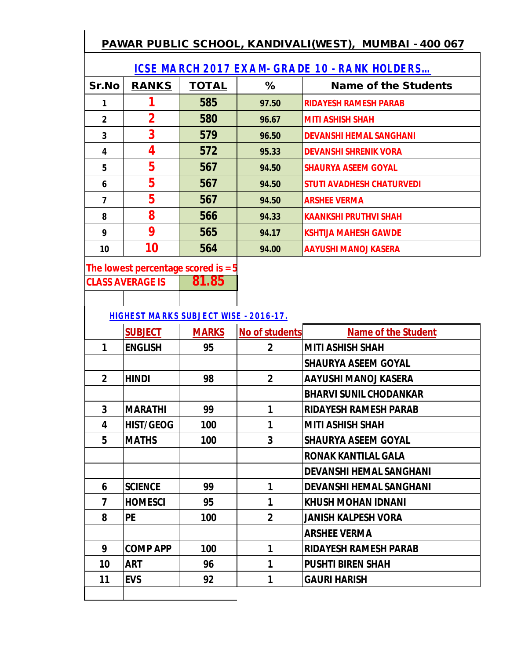## **PAWAR PUBLIC SCHOOL, KANDIVALI(WEST), MUMBAI - 400 067**

|                | <b>ICSE MARCH 2017 EXAM- GRADE 10 - RANK HOLDERS</b> |              |       |                                  |  |  |
|----------------|------------------------------------------------------|--------------|-------|----------------------------------|--|--|
| Sr.No          | <b>RANKS</b>                                         | <b>TOTAL</b> | %     | <b>Name of the Students</b>      |  |  |
|                |                                                      | 585          | 97.50 | <b>RIDAYESH RAMESH PARAB</b>     |  |  |
| $\overline{2}$ | $\overline{2}$                                       | 580          | 96.67 | <b>MITI ASHISH SHAH</b>          |  |  |
| 3              | 3                                                    | 579          | 96.50 | <b>DEVANSHI HEMAL SANGHANI</b>   |  |  |
| 4              | 4                                                    | 572          | 95.33 | <b>DEVANSHI SHRENIK VORA</b>     |  |  |
| 5              | 5                                                    | 567          | 94.50 | <b>SHAURYA ASEEM GOYAL</b>       |  |  |
| 6              | 5                                                    | 567          | 94.50 | <b>STUTI AVADHESH CHATURVEDI</b> |  |  |
| 7              | 5                                                    | 567          | 94.50 | <b>ARSHEE VERMA</b>              |  |  |
| 8              | 8                                                    | 566          | 94.33 | <b>KAANKSHI PRUTHVI SHAH</b>     |  |  |
| 9              | 9                                                    | 565          | 94.17 | <b>KSHTIJA MAHESH GAWDE</b>      |  |  |
| 10             | 10                                                   | 564          | 94.00 | AAYUSHI MANOJ KASERA             |  |  |

The lowest percentage scored is = 5

**CLASS AVERAGE IS 81.85**

 **HIGHEST MARKS SUBJECT WISE - 2016-17.**

|                | <b>SUBJECT</b>   | <b>MARKS</b> | <b>No of students</b> | <b>Name of the Student</b>     |
|----------------|------------------|--------------|-----------------------|--------------------------------|
| 1              | <b>ENGLISH</b>   | 95           | $\overline{2}$        | <b>MITI ASHISH SHAH</b>        |
|                |                  |              |                       | <b>SHAURYA ASEEM GOYAL</b>     |
| $\overline{2}$ | <b>HINDI</b>     | 98           | $\overline{2}$        | <b>AAYUSHI MANOJ KASERA</b>    |
|                |                  |              |                       | <b>BHARVI SUNIL CHODANKAR</b>  |
| 3              | <b>MARATHI</b>   | 99           | 1                     | <b>RIDAYESH RAMESH PARAB</b>   |
| 4              | <b>HIST/GEOG</b> | 100          | 1                     | <b>MITI ASHISH SHAH</b>        |
| 5              | <b>MATHS</b>     | 100          | 3                     | <b>SHAURYA ASEEM GOYAL</b>     |
|                |                  |              |                       | <b>RONAK KANTILAL GALA</b>     |
|                |                  |              |                       | <b>DEVANSHI HEMAL SANGHANI</b> |
| 6              | <b>SCIENCE</b>   | 99           | 1                     | <b>DEVANSHI HEMAL SANGHANI</b> |
| 7              | <b>HOMESCI</b>   | 95           | 1                     | <b>KHUSH MOHAN IDNANI</b>      |
| 8              | <b>PE</b>        | 100          | $\overline{2}$        | <b>JANISH KALPESH VORA</b>     |
|                |                  |              |                       | <b>ARSHEE VERMA</b>            |
| 9              | <b>COMP APP</b>  | 100          | 1                     | <b>RIDAYESH RAMESH PARAB</b>   |
| 10             | <b>ART</b>       | 96           | 1                     | <b>PUSHTI BIREN SHAH</b>       |
| 11             | <b>EVS</b>       | 92           | 1                     | <b>GAURI HARISH</b>            |
|                |                  |              |                       |                                |